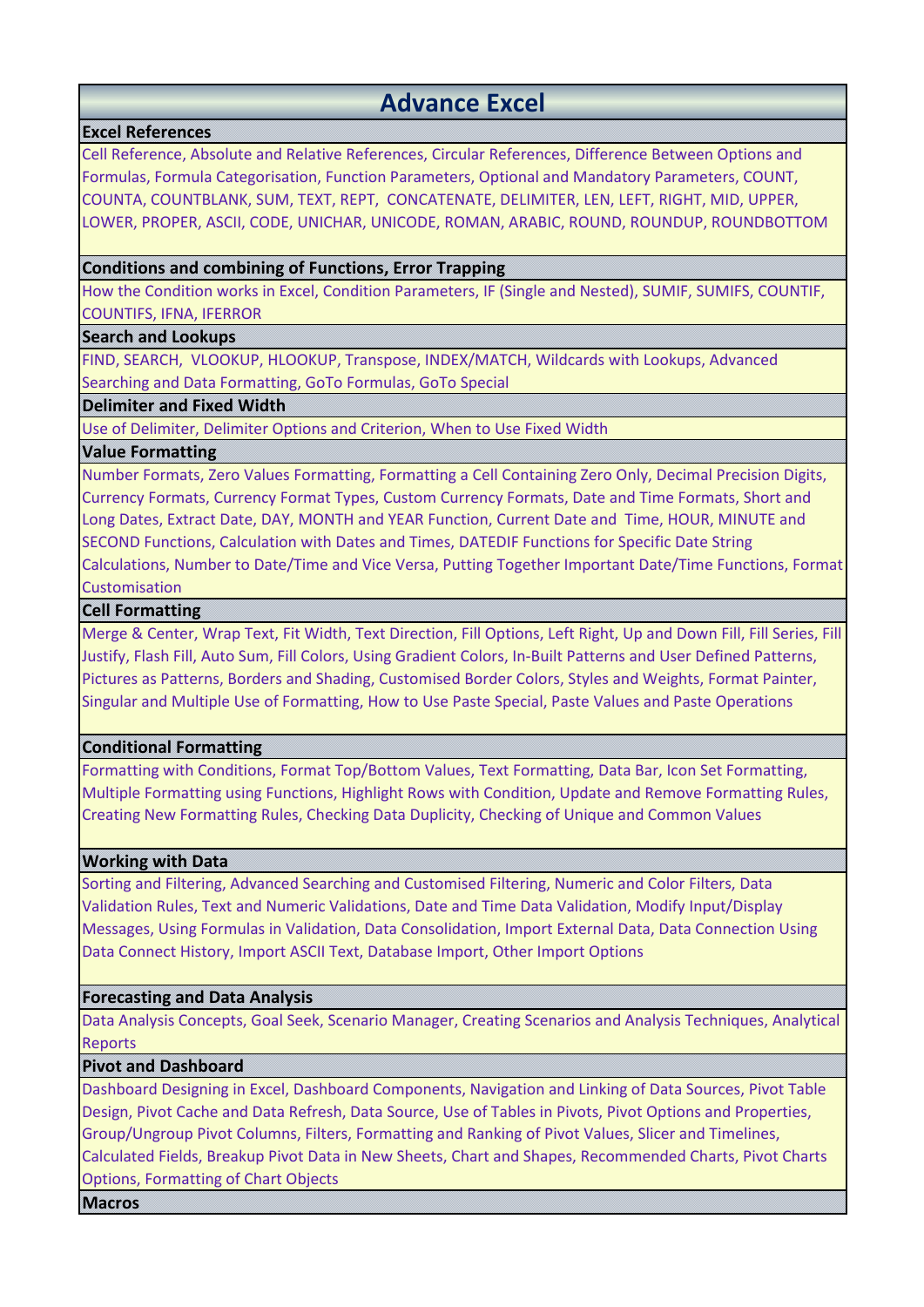# **Advance Excel**

# **Excel References**

Cell Reference, Absolute and Relative References, Circular References, Difference Between Options and Formulas, Formula Categorisation, Function Parameters, Optional and Mandatory Parameters, COUNT, COUNTA, COUNTBLANK, SUM, TEXT, REPT, CONCATENATE, DELIMITER, LEN, LEFT, RIGHT, MID, UPPER, LOWER, PROPER, ASCII, CODE, UNICHAR, UNICODE, ROMAN, ARABIC, ROUND, ROUNDUP, ROUNDBOTTOM

# **Conditions and combining of Functions, Error Trapping**

How the Condition works in Excel, Condition Parameters, IF (Single and Nested), SUMIF, SUMIFS, COUNTIF, COUNTIFS, IFNA, IFERROR

# **Search and Lookups**

FIND, SEARCH, VLOOKUP, HLOOKUP, Transpose, INDEX/MATCH, Wildcards with Lookups, Advanced Searching and Data Formatting, GoTo Formulas, GoTo Special

# **Delimiter and Fixed Width**

Use of Delimiter, Delimiter Options and Criterion, When to Use Fixed Width

# **Value Formatting**

Number Formats, Zero Values Formatting, Formatting a Cell Containing Zero Only, Decimal Precision Digits, Currency Formats, Currency Format Types, Custom Currency Formats, Date and Time Formats, Short and Long Dates, Extract Date, DAY, MONTH and YEAR Function, Current Date and Time, HOUR, MINUTE and SECOND Functions, Calculation with Dates and Times, DATEDIF Functions for Specific Date String Calculations, Number to Date/Time and Vice Versa, Putting Together Important Date/Time Functions, Format Customisation

# **Cell Formatting**

Merge & Center, Wrap Text, Fit Width, Text Direction, Fill Options, Left Right, Up and Down Fill, Fill Series, Fill Justify, Flash Fill, Auto Sum, Fill Colors, Using Gradient Colors, In-Built Patterns and User Defined Patterns, Pictures as Patterns, Borders and Shading, Customised Border Colors, Styles and Weights, Format Painter, Singular and Multiple Use of Formatting, How to Use Paste Special, Paste Values and Paste Operations

# **Conditional Formatting**

Formatting with Conditions, Format Top/Bottom Values, Text Formatting, Data Bar, Icon Set Formatting, Multiple Formatting using Functions, Highlight Rows with Condition, Update and Remove Formatting Rules, Creating New Formatting Rules, Checking Data Duplicity, Checking of Unique and Common Values

# **Working with Data**

Sorting and Filtering, Advanced Searching and Customised Filtering, Numeric and Color Filters, Data Validation Rules, Text and Numeric Validations, Date and Time Data Validation, Modify Input/Display Messages, Using Formulas in Validation, Data Consolidation, Import External Data, Data Connection Using Data Connect History, Import ASCII Text, Database Import, Other Import Options

# **Forecasting and Data Analysis**

Data Analysis Concepts, Goal Seek, Scenario Manager, Creating Scenarios and Analysis Techniques, Analytical Reports

# **Pivot and Dashboard**

Dashboard Designing in Excel, Dashboard Components, Navigation and Linking of Data Sources, Pivot Table Design, Pivot Cache and Data Refresh, Data Source, Use of Tables in Pivots, Pivot Options and Properties, Group/Ungroup Pivot Columns, Filters, Formatting and Ranking of Pivot Values, Slicer and Timelines, Calculated Fields, Breakup Pivot Data in New Sheets, Chart and Shapes, Recommended Charts, Pivot Charts Options, Formatting of Chart Objects

**Macros**